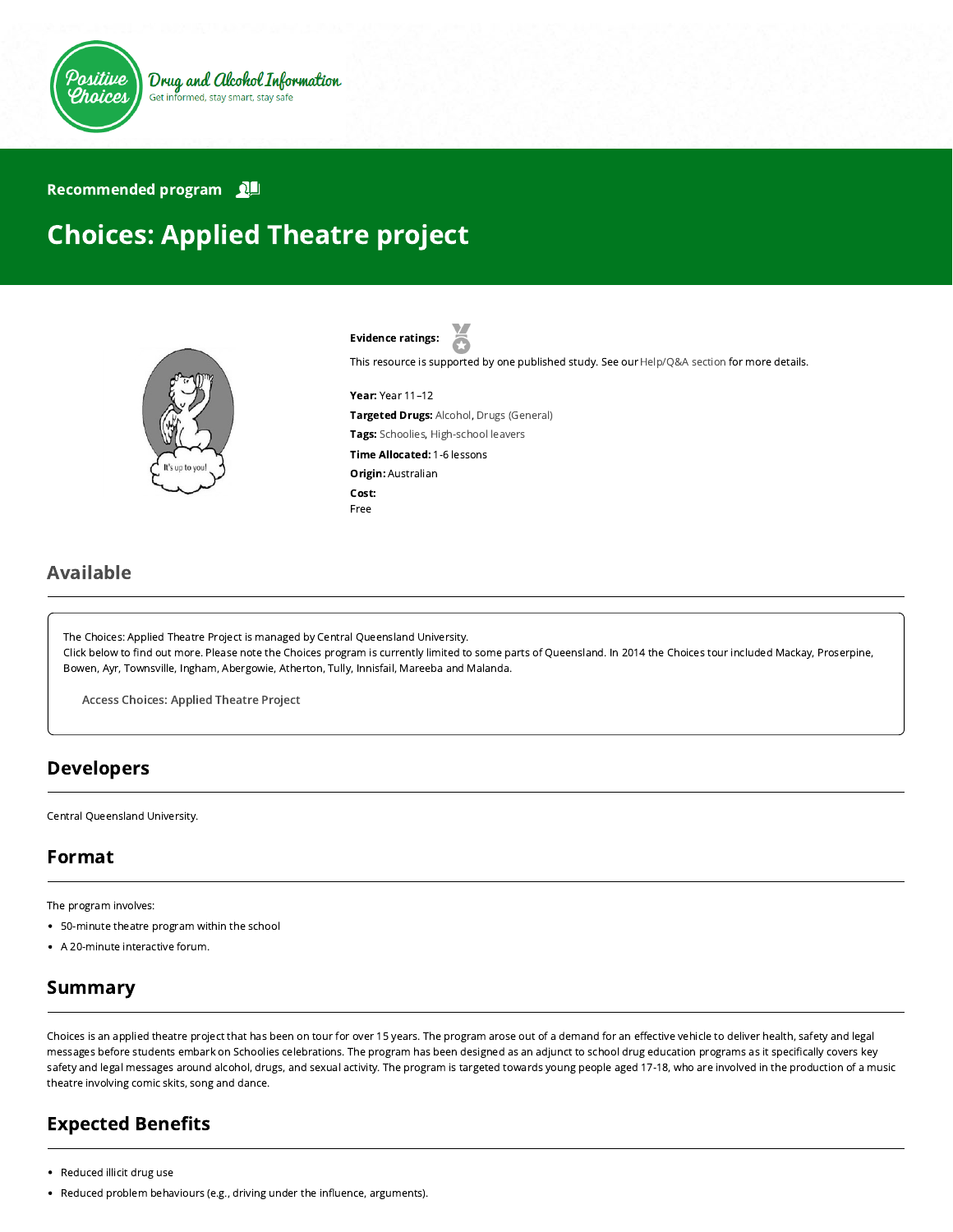

#### Recommended program

# Choices: Applied Theatre project



Evidence ratings: ā

This resource is supported by one published study. See our [Help/Q&A section](https://positivechoices.org.au/help/questions-and-answers/) for more details.

Year: Year 11-12 Targeted Drugs: Alcohol, Drugs (General) Tags: Schoolies, High-school leavers Time Allocated: 1-6 lessons Origin: Australian Cost: Free

#### Available

The Choices: Applied Theatre Project is managed by Central Queensland University. Click below to find out more. Please note the Choices program is currently limited to some parts of Queensland. In 2014 the Choices tour included Mackay, Proserpine, Bowen, Ayr, Townsville, Ingham, Abergowie, Atherton, Tully, Innisfail, Mareeba and Malanda.

Access [Choices:](https://www.cqu.edu.au/about-us/structure/schools/ea/cqcm/choices-applied-theatre-project) Applied Theatre Project

#### Developers

Central Queensland University.

#### Format

The program involves:

- 50-minute theatre program within the school
- A 20-minute interactive forum.

#### Summary

Choices is an applied theatre project that has been on tour for over 15 years. The program arose out of a demand for an effective vehicle to deliver health, safety and legal messages before students embark on Schoolies celebrations. The program has been designed as an adjunct to school drug education programs as it specifically covers key safety and legal messages around alcohol, drugs, and sexual activity. The program is targeted towards young people aged 17-18, who are involved in the production of a music theatre involving comic skits, song and dance.

## **Expected Benefits**

- Reduced illicit drug use
- Reduced problem behaviours (e.g., driving under the influence, arguments).